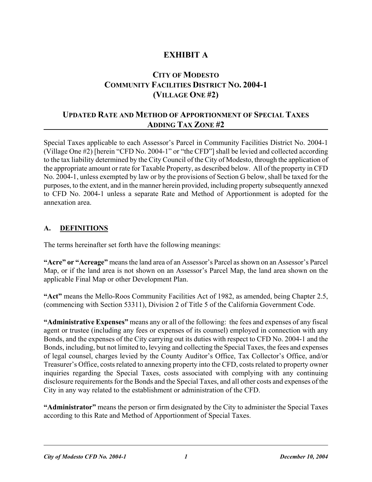# **EXHIBIT A**

# **CITY OF MODESTO COMMUNITY FACILITIES DISTRICT NO. 2004-1 (VILLAGE ONE #2)**

# **UPDATED RATE AND METHOD OF APPORTIONMENT OF SPECIAL TAXES ADDING TAX ZONE #2**

Special Taxes applicable to each Assessor's Parcel in Community Facilities District No. 2004-1 (Village One #2) [herein "CFD No. 2004-1" or "the CFD"] shall be levied and collected according to the tax liability determined by the City Council of the City of Modesto, through the application of the appropriate amount or rate for Taxable Property, as described below. All of the property in CFD No. 2004-1, unless exempted by law or by the provisions of Section G below, shall be taxed for the purposes, to the extent, and in the manner herein provided, including property subsequently annexed to CFD No. 2004-1 unless a separate Rate and Method of Apportionment is adopted for the annexation area.

### **A. DEFINITIONS**

The terms hereinafter set forth have the following meanings:

**"Acre" or "Acreage"** means the land area of an Assessor's Parcel as shown on an Assessor's Parcel Map, or if the land area is not shown on an Assessor's Parcel Map, the land area shown on the applicable Final Map or other Development Plan.

**"Act"** means the Mello-Roos Community Facilities Act of 1982, as amended, being Chapter 2.5, (commencing with Section 53311), Division 2 of Title 5 of the California Government Code.

**"Administrative Expenses"** means any or all of the following: the fees and expenses of any fiscal agent or trustee (including any fees or expenses of its counsel) employed in connection with any Bonds, and the expenses of the City carrying out its duties with respect to CFD No. 2004-1 and the Bonds, including, but not limited to, levying and collecting the Special Taxes, the fees and expenses of legal counsel, charges levied by the County Auditor's Office, Tax Collector's Office, and/or Treasurer's Office, costs related to annexing property into the CFD, costs related to property owner inquiries regarding the Special Taxes, costs associated with complying with any continuing disclosure requirements for the Bonds and the Special Taxes, and all other costs and expenses of the City in any way related to the establishment or administration of the CFD.

**"Administrator"** means the person or firm designated by the City to administer the Special Taxes according to this Rate and Method of Apportionment of Special Taxes.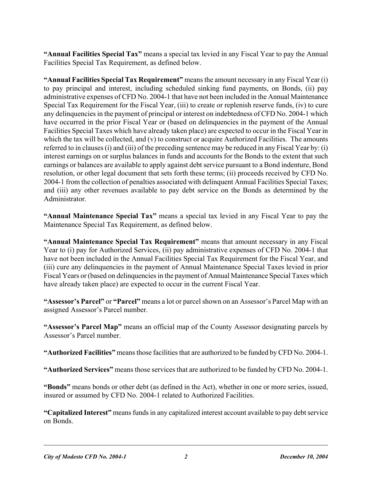**"Annual Facilities Special Tax"** means a special tax levied in any Fiscal Year to pay the Annual Facilities Special Tax Requirement, as defined below.

**"Annual Facilities Special Tax Requirement"** means the amount necessary in any Fiscal Year (i) to pay principal and interest, including scheduled sinking fund payments, on Bonds, (ii) pay administrative expenses of CFD No. 2004-1 that have not been included in the Annual Maintenance Special Tax Requirement for the Fiscal Year, (iii) to create or replenish reserve funds, (iv) to cure any delinquencies in the payment of principal or interest on indebtedness of CFD No. 2004-1 which have occurred in the prior Fiscal Year or (based on delinquencies in the payment of the Annual Facilities Special Taxes which have already taken place) are expected to occur in the Fiscal Year in which the tax will be collected, and (v) to construct or acquire Authorized Facilities. The amounts referred to in clauses (i) and (iii) of the preceding sentence may be reduced in any Fiscal Year by: (i) interest earnings on or surplus balances in funds and accounts for the Bonds to the extent that such earnings or balances are available to apply against debt service pursuant to a Bond indenture, Bond resolution, or other legal document that sets forth these terms; (ii) proceeds received by CFD No. 2004-1 from the collection of penalties associated with delinquent Annual Facilities Special Taxes; and (iii) any other revenues available to pay debt service on the Bonds as determined by the Administrator.

**"Annual Maintenance Special Tax"** means a special tax levied in any Fiscal Year to pay the Maintenance Special Tax Requirement, as defined below.

**"Annual Maintenance Special Tax Requirement"** means that amount necessary in any Fiscal Year to (i) pay for Authorized Services, (ii) pay administrative expenses of CFD No. 2004-1 that have not been included in the Annual Facilities Special Tax Requirement for the Fiscal Year, and (iii) cure any delinquencies in the payment of Annual Maintenance Special Taxes levied in prior Fiscal Years or (based on delinquencies in the payment of Annual Maintenance Special Taxes which have already taken place) are expected to occur in the current Fiscal Year.

**"Assessor's Parcel"** or **"Parcel"** means a lot or parcel shown on an Assessor's Parcel Map with an assigned Assessor's Parcel number.

**"Assessor's Parcel Map"** means an official map of the County Assessor designating parcels by Assessor's Parcel number.

**"Authorized Facilities"** means those facilities that are authorized to be funded by CFD No. 2004-1.

**"Authorized Services"** means those services that are authorized to be funded by CFD No. 2004-1.

**"Bonds"** means bonds or other debt (as defined in the Act), whether in one or more series, issued, insured or assumed by CFD No. 2004-1 related to Authorized Facilities.

**"Capitalized Interest"** means funds in any capitalized interest account available to pay debt service on Bonds.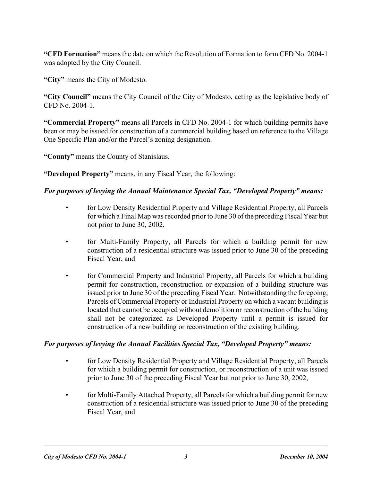**"CFD Formation"** means the date on which the Resolution of Formation to form CFD No. 2004-1 was adopted by the City Council.

**"City"** means the City of Modesto.

**"City Council"** means the City Council of the City of Modesto, acting as the legislative body of CFD No. 2004-1.

**"Commercial Property"** means all Parcels in CFD No. 2004-1 for which building permits have been or may be issued for construction of a commercial building based on reference to the Village One Specific Plan and/or the Parcel's zoning designation.

**"County"** means the County of Stanislaus.

**"Developed Property"** means, in any Fiscal Year, the following:

### *For purposes of levying the Annual Maintenance Special Tax, "Developed Property" means:*

- for Low Density Residential Property and Village Residential Property, all Parcels for which a Final Map was recorded prior to June 30 of the preceding Fiscal Year but not prior to June 30, 2002,
- for Multi-Family Property, all Parcels for which a building permit for new construction of a residential structure was issued prior to June 30 of the preceding Fiscal Year, and
- for Commercial Property and Industrial Property, all Parcels for which a building permit for construction, reconstruction or expansion of a building structure was issued prior to June 30 of the preceding Fiscal Year. Notwithstanding the foregoing, Parcels of Commercial Property or Industrial Property on which a vacant building is located that cannot be occupied without demolition or reconstruction of the building shall not be categorized as Developed Property until a permit is issued for construction of a new building or reconstruction of the existing building.

#### *For purposes of levying the Annual Facilities Special Tax, "Developed Property" means:*

- for Low Density Residential Property and Village Residential Property, all Parcels for which a building permit for construction, or reconstruction of a unit was issued prior to June 30 of the preceding Fiscal Year but not prior to June 30, 2002,
- for Multi-Family Attached Property, all Parcels for which a building permit for new construction of a residential structure was issued prior to June 30 of the preceding Fiscal Year, and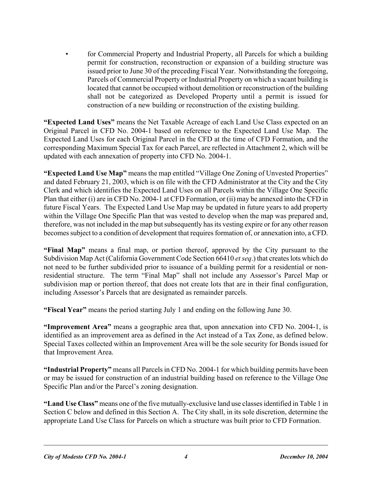• for Commercial Property and Industrial Property, all Parcels for which a building permit for construction, reconstruction or expansion of a building structure was issued prior to June 30 of the preceding Fiscal Year. Notwithstanding the foregoing, Parcels of Commercial Property or Industrial Property on which a vacant building is located that cannot be occupied without demolition or reconstruction of the building shall not be categorized as Developed Property until a permit is issued for construction of a new building or reconstruction of the existing building.

**"Expected Land Uses"** means the Net Taxable Acreage of each Land Use Class expected on an Original Parcel in CFD No. 2004-1 based on reference to the Expected Land Use Map. The Expected Land Uses for each Original Parcel in the CFD at the time of CFD Formation, and the corresponding Maximum Special Tax for each Parcel, are reflected in Attachment 2, which will be updated with each annexation of property into CFD No. 2004-1.

**"Expected Land Use Map"** means the map entitled "Village One Zoning of Unvested Properties" and dated February 21, 2003, which is on file with the CFD Administrator at the City and the City Clerk and which identifies the Expected Land Uses on all Parcels within the Village One Specific Plan that either (i) are in CFD No. 2004-1 at CFD Formation, or (ii) may be annexed into the CFD in future Fiscal Years. The Expected Land Use Map may be updated in future years to add property within the Village One Specific Plan that was vested to develop when the map was prepared and, therefore, was not included in the map but subsequently has its vesting expire or for any other reason becomes subject to a condition of development that requires formation of, or annexation into, a CFD.

**"Final Map"** means a final map, or portion thereof, approved by the City pursuant to the Subdivision Map Act (California Government Code Section 66410 *et seq*.) that creates lots which do not need to be further subdivided prior to issuance of a building permit for a residential or nonresidential structure. The term "Final Map" shall not include any Assessor's Parcel Map or subdivision map or portion thereof, that does not create lots that are in their final configuration, including Assessor's Parcels that are designated as remainder parcels.

**"Fiscal Year"** means the period starting July 1 and ending on the following June 30.

**"Improvement Area"** means a geographic area that, upon annexation into CFD No. 2004-1, is identified as an improvement area as defined in the Act instead of a Tax Zone, as defined below. Special Taxes collected within an Improvement Area will be the sole security for Bonds issued for that Improvement Area.

**"Industrial Property"** means all Parcels in CFD No. 2004-1 for which building permits have been or may be issued for construction of an industrial building based on reference to the Village One Specific Plan and/or the Parcel's zoning designation.

**"Land Use Class"** means one of the five mutually-exclusive land use classes identified in Table 1 in Section C below and defined in this Section A. The City shall, in its sole discretion, determine the appropriate Land Use Class for Parcels on which a structure was built prior to CFD Formation.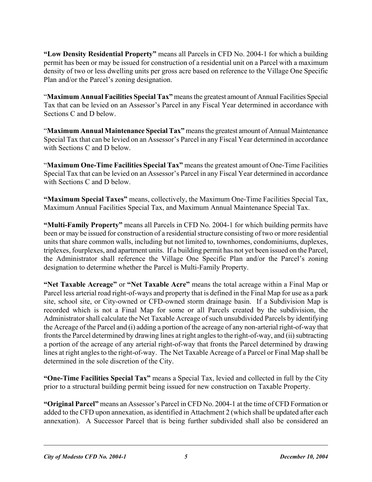**"Low Density Residential Property"** means all Parcels in CFD No. 2004-1 for which a building permit has been or may be issued for construction of a residential unit on a Parcel with a maximum density of two or less dwelling units per gross acre based on reference to the Village One Specific Plan and/or the Parcel's zoning designation.

"**Maximum Annual Facilities Special Tax"** means the greatest amount of Annual Facilities Special Tax that can be levied on an Assessor's Parcel in any Fiscal Year determined in accordance with Sections C and D below.

"**Maximum Annual Maintenance Special Tax"** means the greatest amount of Annual Maintenance Special Tax that can be levied on an Assessor's Parcel in any Fiscal Year determined in accordance with Sections C and D below.

"**Maximum One-Time Facilities Special Tax"** means the greatest amount of One-Time Facilities Special Tax that can be levied on an Assessor's Parcel in any Fiscal Year determined in accordance with Sections C and D below.

**"Maximum Special Taxes"** means, collectively, the Maximum One-Time Facilities Special Tax, Maximum Annual Facilities Special Tax, and Maximum Annual Maintenance Special Tax.

**"Multi-Family Property"** means all Parcels in CFD No. 2004-1 for which building permits have been or may be issued for construction of a residential structure consisting of two or more residential units that share common walls, including but not limited to, townhomes, condominiums, duplexes, triplexes, fourplexes, and apartment units. If a building permit has not yet been issued on the Parcel, the Administrator shall reference the Village One Specific Plan and/or the Parcel's zoning designation to determine whether the Parcel is Multi-Family Property.

**"Net Taxable Acreage"** or **"Net Taxable Acre"** means the total acreage within a Final Map or Parcel less arterial road right-of-ways and property that is defined in the Final Map for use as a park site, school site, or City-owned or CFD-owned storm drainage basin. If a Subdivision Map is recorded which is not a Final Map for some or all Parcels created by the subdivision, the Administrator shall calculate the Net Taxable Acreage of such unsubdivided Parcels by identifying the Acreage of the Parcel and (i) adding a portion of the acreage of any non-arterial right-of-way that fronts the Parcel determined by drawing lines at right angles to the right-of-way, and (ii) subtracting a portion of the acreage of any arterial right-of-way that fronts the Parcel determined by drawing lines at right angles to the right-of-way. The Net Taxable Acreage of a Parcel or Final Map shall be determined in the sole discretion of the City.

**"One-Time Facilities Special Tax"** means a Special Tax, levied and collected in full by the City prior to a structural building permit being issued for new construction on Taxable Property.

**"Original Parcel"** means an Assessor's Parcel in CFD No. 2004-1 at the time of CFD Formation or added to the CFD upon annexation, as identified in Attachment 2 (which shall be updated after each annexation). A Successor Parcel that is being further subdivided shall also be considered an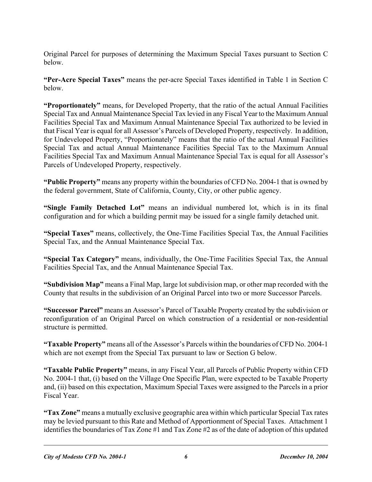Original Parcel for purposes of determining the Maximum Special Taxes pursuant to Section C below.

**"Per-Acre Special Taxes"** means the per-acre Special Taxes identified in Table 1 in Section C below.

**"Proportionately"** means, for Developed Property, that the ratio of the actual Annual Facilities Special Tax and Annual Maintenance Special Tax levied in any Fiscal Year to the Maximum Annual Facilities Special Tax and Maximum Annual Maintenance Special Tax authorized to be levied in that Fiscal Year is equal for all Assessor's Parcels of Developed Property, respectively. In addition, for Undeveloped Property, "Proportionately" means that the ratio of the actual Annual Facilities Special Tax and actual Annual Maintenance Facilities Special Tax to the Maximum Annual Facilities Special Tax and Maximum Annual Maintenance Special Tax is equal for all Assessor's Parcels of Undeveloped Property, respectively.

**"Public Property"** means any property within the boundaries of CFD No. 2004-1 that is owned by the federal government, State of California, County, City, or other public agency.

**"Single Family Detached Lot"** means an individual numbered lot, which is in its final configuration and for which a building permit may be issued for a single family detached unit.

**"Special Taxes"** means, collectively, the One-Time Facilities Special Tax, the Annual Facilities Special Tax, and the Annual Maintenance Special Tax.

**"Special Tax Category"** means, individually, the One-Time Facilities Special Tax, the Annual Facilities Special Tax, and the Annual Maintenance Special Tax.

**"Subdivision Map"** means a Final Map, large lot subdivision map, or other map recorded with the County that results in the subdivision of an Original Parcel into two or more Successor Parcels.

**"Successor Parcel"** means an Assessor's Parcel of Taxable Property created by the subdivision or reconfiguration of an Original Parcel on which construction of a residential or non-residential structure is permitted.

**"Taxable Property"** means all of the Assessor's Parcels within the boundaries of CFD No. 2004-1 which are not exempt from the Special Tax pursuant to law or Section G below.

**"Taxable Public Property"** means, in any Fiscal Year, all Parcels of Public Property within CFD No. 2004-1 that, (i) based on the Village One Specific Plan, were expected to be Taxable Property and, (ii) based on this expectation, Maximum Special Taxes were assigned to the Parcels in a prior Fiscal Year.

**"Tax Zone"** means a mutually exclusive geographic area within which particular Special Tax rates may be levied pursuant to this Rate and Method of Apportionment of Special Taxes. Attachment 1 identifies the boundaries of Tax Zone #1 and Tax Zone #2 as of the date of adoption of this updated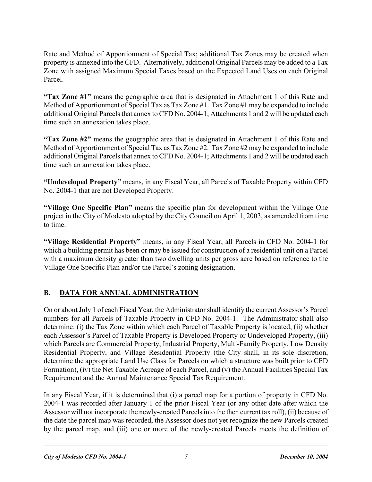Rate and Method of Apportionment of Special Tax; additional Tax Zones may be created when property is annexed into the CFD. Alternatively, additional Original Parcels may be added to a Tax Zone with assigned Maximum Special Taxes based on the Expected Land Uses on each Original Parcel.

**"Tax Zone #1"** means the geographic area that is designated in Attachment 1 of this Rate and Method of Apportionment of Special Tax as Tax Zone #1. Tax Zone #1 may be expanded to include additional Original Parcels that annex to CFD No. 2004-1; Attachments 1 and 2 will be updated each time such an annexation takes place.

**"Tax Zone #2"** means the geographic area that is designated in Attachment 1 of this Rate and Method of Apportionment of Special Tax as Tax Zone #2. Tax Zone #2 may be expanded to include additional Original Parcels that annex to CFD No. 2004-1; Attachments 1 and 2 will be updated each time such an annexation takes place.

**"Undeveloped Property"** means, in any Fiscal Year, all Parcels of Taxable Property within CFD No. 2004-1 that are not Developed Property.

**"Village One Specific Plan"** means the specific plan for development within the Village One project in the City of Modesto adopted by the City Council on April 1, 2003, as amended from time to time.

**"Village Residential Property"** means, in any Fiscal Year, all Parcels in CFD No. 2004-1 for which a building permit has been or may be issued for construction of a residential unit on a Parcel with a maximum density greater than two dwelling units per gross acre based on reference to the Village One Specific Plan and/or the Parcel's zoning designation.

# **B.** DATA FOR ANNUAL ADMINISTRATION

On or about July 1 of each Fiscal Year, the Administrator shall identify the current Assessor's Parcel numbers for all Parcels of Taxable Property in CFD No. 2004-1. The Administrator shall also determine: (i) the Tax Zone within which each Parcel of Taxable Property is located, (ii) whether each Assessor's Parcel of Taxable Property is Developed Property or Undeveloped Property, (iii) which Parcels are Commercial Property, Industrial Property, Multi-Family Property, Low Density Residential Property, and Village Residential Property (the City shall, in its sole discretion, determine the appropriate Land Use Class for Parcels on which a structure was built prior to CFD Formation), (iv) the Net Taxable Acreage of each Parcel, and (v) the Annual Facilities Special Tax Requirement and the Annual Maintenance Special Tax Requirement.

In any Fiscal Year, if it is determined that (i) a parcel map for a portion of property in CFD No. 2004-1 was recorded after January 1 of the prior Fiscal Year (or any other date after which the Assessor will not incorporate the newly-created Parcels into the then current tax roll), (ii) because of the date the parcel map was recorded, the Assessor does not yet recognize the new Parcels created by the parcel map, and (iii) one or more of the newly-created Parcels meets the definition of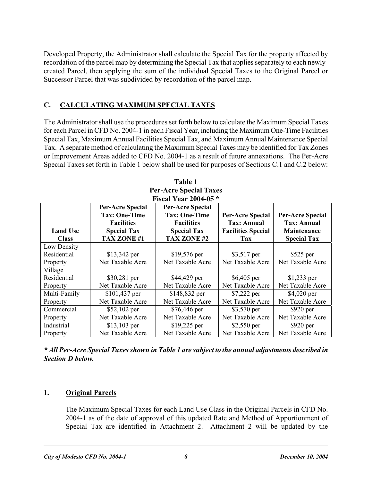Developed Property, the Administrator shall calculate the Special Tax for the property affected by recordation of the parcel map by determining the Special Tax that applies separately to each newlycreated Parcel, then applying the sum of the individual Special Taxes to the Original Parcel or Successor Parcel that was subdivided by recordation of the parcel map.

## **C. CALCULATING MAXIMUM SPECIAL TAXES**

The Administrator shall use the procedures set forth below to calculate the Maximum Special Taxes for each Parcel in CFD No. 2004-1 in each Fiscal Year, including the Maximum One-Time Facilities Special Tax, Maximum Annual Facilities Special Tax, and Maximum Annual Maintenance Special Tax. A separate method of calculating the Maximum Special Taxes may be identified for Tax Zones or Improvement Areas added to CFD No. 2004-1 as a result of future annexations. The Per-Acre Special Taxes set forth in Table 1 below shall be used for purposes of Sections C.1 and C.2 below:

| <b>Fiscal Year 2004-05 *</b> |                         |                         |                           |                         |  |  |  |  |  |
|------------------------------|-------------------------|-------------------------|---------------------------|-------------------------|--|--|--|--|--|
|                              | <b>Per-Acre Special</b> | <b>Per-Acre Special</b> |                           |                         |  |  |  |  |  |
|                              | <b>Tax: One-Time</b>    | <b>Tax: One-Time</b>    | <b>Per-Acre Special</b>   | <b>Per-Acre Special</b> |  |  |  |  |  |
|                              | <b>Facilities</b>       | <b>Facilities</b>       | <b>Tax: Annual</b>        | <b>Tax: Annual</b>      |  |  |  |  |  |
| <b>Land Use</b>              | <b>Special Tax</b>      | <b>Special Tax</b>      | <b>Facilities Special</b> | <b>Maintenance</b>      |  |  |  |  |  |
| <b>Class</b>                 | TAX ZONE #1             | <b>TAX ZONE #2</b>      | Tax                       | <b>Special Tax</b>      |  |  |  |  |  |
| Low Density                  |                         |                         |                           |                         |  |  |  |  |  |
| Residential                  | \$13,342 per            | \$19,576 per            | \$3,517 per               | $$525$ per              |  |  |  |  |  |
| Property                     | Net Taxable Acre        | Net Taxable Acre        | Net Taxable Acre          | Net Taxable Acre        |  |  |  |  |  |
| Village                      |                         |                         |                           |                         |  |  |  |  |  |
| Residential                  | \$30,281 per            | \$44,429 per            | \$6,405 per               | $$1,233$ per            |  |  |  |  |  |
| Property                     | Net Taxable Acre        | Net Taxable Acre        | Net Taxable Acre          | Net Taxable Acre        |  |  |  |  |  |
| Multi-Family                 | \$101,437 per           | \$148,832 per           | \$7,222 per               | \$4,020 per             |  |  |  |  |  |
| Property                     | Net Taxable Acre        | Net Taxable Acre        | Net Taxable Acre          | Net Taxable Acre        |  |  |  |  |  |
| Commercial                   | \$52,102 per            | \$76,446 per            | \$3,570 per               | $$920~\mathrm{per}$     |  |  |  |  |  |
| Property                     | Net Taxable Acre        | Net Taxable Acre        | Net Taxable Acre          | Net Taxable Acre        |  |  |  |  |  |
| Industrial                   | $$13,103$ per           | $$19,225$ per           | \$2,550 per               | $$920~\mathrm{per}$     |  |  |  |  |  |
| Property                     | Net Taxable Acre        | Net Taxable Acre        | Net Taxable Acre          | Net Taxable Acre        |  |  |  |  |  |

**Table 1 Per-Acre Special Taxes** 

*\* All Per-Acre Special Taxes shown in Table 1 are subject to the annual adjustments described in Section D below.* 

### **1. Original Parcels**

The Maximum Special Taxes for each Land Use Class in the Original Parcels in CFD No. 2004-1 as of the date of approval of this updated Rate and Method of Apportionment of Special Tax are identified in Attachment 2. Attachment 2 will be updated by the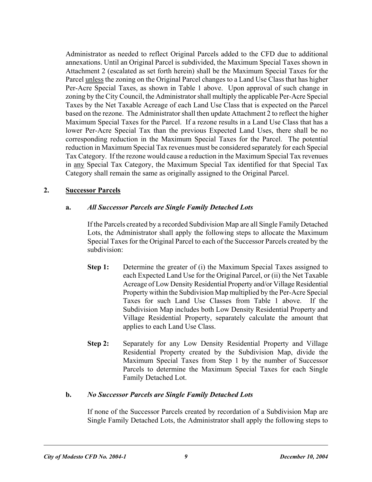Administrator as needed to reflect Original Parcels added to the CFD due to additional annexations. Until an Original Parcel is subdivided, the Maximum Special Taxes shown in Attachment 2 (escalated as set forth herein) shall be the Maximum Special Taxes for the Parcel unless the zoning on the Original Parcel changes to a Land Use Class that has higher Per-Acre Special Taxes, as shown in Table 1 above. Upon approval of such change in zoning by the City Council, the Administrator shall multiply the applicable Per-Acre Special Taxes by the Net Taxable Acreage of each Land Use Class that is expected on the Parcel based on the rezone. The Administrator shall then update Attachment 2 to reflect the higher Maximum Special Taxes for the Parcel. If a rezone results in a Land Use Class that has a lower Per-Acre Special Tax than the previous Expected Land Uses, there shall be no corresponding reduction in the Maximum Special Taxes for the Parcel. The potential reduction in Maximum Special Tax revenues must be considered separately for each Special Tax Category. If the rezone would cause a reduction in the Maximum Special Tax revenues in any Special Tax Category, the Maximum Special Tax identified for that Special Tax Category shall remain the same as originally assigned to the Original Parcel.

#### **2. Successor Parcels**

#### **a.** *All Successor Parcels are Single Family Detached Lots*

If the Parcels created by a recorded Subdivision Map are all Single Family Detached Lots, the Administrator shall apply the following steps to allocate the Maximum Special Taxes for the Original Parcel to each of the Successor Parcels created by the subdivision:

- **Step 1:** Determine the greater of (i) the Maximum Special Taxes assigned to each Expected Land Use for the Original Parcel, or (ii) the Net Taxable Acreage of Low Density Residential Property and/or Village Residential Property within the Subdivision Map multiplied by the Per-Acre Special Taxes for such Land Use Classes from Table 1 above. If the Subdivision Map includes both Low Density Residential Property and Village Residential Property, separately calculate the amount that applies to each Land Use Class.
- **Step 2:** Separately for any Low Density Residential Property and Village Residential Property created by the Subdivision Map, divide the Maximum Special Taxes from Step 1 by the number of Successor Parcels to determine the Maximum Special Taxes for each Single Family Detached Lot.

#### **b.** *No Successor Parcels are Single Family Detached Lots*

If none of the Successor Parcels created by recordation of a Subdivision Map are Single Family Detached Lots, the Administrator shall apply the following steps to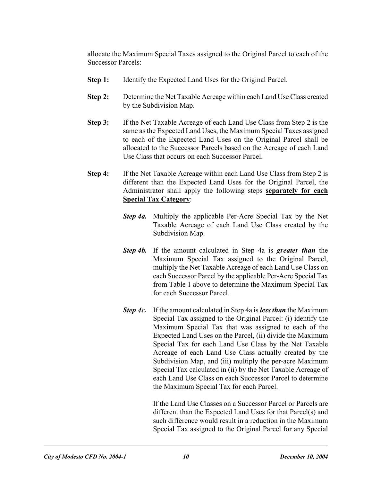allocate the Maximum Special Taxes assigned to the Original Parcel to each of the Successor Parcels:

- **Step 1:** Identify the Expected Land Uses for the Original Parcel.
- **Step 2:** Determine the Net Taxable Acreage within each Land Use Class created by the Subdivision Map.
- **Step 3:** If the Net Taxable Acreage of each Land Use Class from Step 2 is the same as the Expected Land Uses, the Maximum Special Taxes assigned to each of the Expected Land Uses on the Original Parcel shall be allocated to the Successor Parcels based on the Acreage of each Land Use Class that occurs on each Successor Parcel.
- **Step 4:** If the Net Taxable Acreage within each Land Use Class from Step 2 is different than the Expected Land Uses for the Original Parcel, the Administrator shall apply the following steps **separately for each Special Tax Category**:
	- *Step 4a.* Multiply the applicable Per-Acre Special Tax by the Net Taxable Acreage of each Land Use Class created by the Subdivision Map.
	- *Step 4b.* If the amount calculated in Step 4a is *greater than* the Maximum Special Tax assigned to the Original Parcel, multiply the Net Taxable Acreage of each Land Use Class on each Successor Parcel by the applicable Per-Acre Special Tax from Table 1 above to determine the Maximum Special Tax for each Successor Parcel.
	- *Step 4c.* If the amount calculated in Step 4a is *less than* the Maximum Special Tax assigned to the Original Parcel: (i) identify the Maximum Special Tax that was assigned to each of the Expected Land Uses on the Parcel, (ii) divide the Maximum Special Tax for each Land Use Class by the Net Taxable Acreage of each Land Use Class actually created by the Subdivision Map, and (iii) multiply the per-acre Maximum Special Tax calculated in (ii) by the Net Taxable Acreage of each Land Use Class on each Successor Parcel to determine the Maximum Special Tax for each Parcel.

 If the Land Use Classes on a Successor Parcel or Parcels are different than the Expected Land Uses for that Parcel(s) and such difference would result in a reduction in the Maximum Special Tax assigned to the Original Parcel for any Special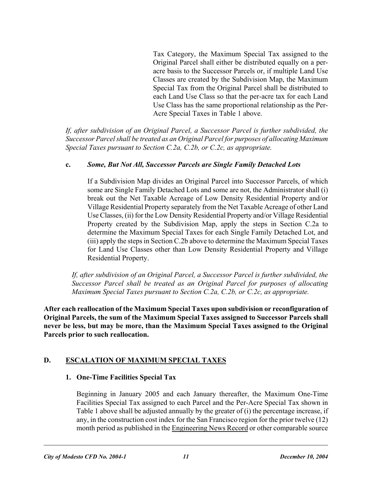Tax Category, the Maximum Special Tax assigned to the Original Parcel shall either be distributed equally on a peracre basis to the Successor Parcels or, if multiple Land Use Classes are created by the Subdivision Map, the Maximum Special Tax from the Original Parcel shall be distributed to each Land Use Class so that the per-acre tax for each Land Use Class has the same proportional relationship as the Per-Acre Special Taxes in Table 1 above.

*If, after subdivision of an Original Parcel, a Successor Parcel is further subdivided, the Successor Parcel shall be treated as an Original Parcel for purposes of allocating Maximum Special Taxes pursuant to Section C.2a, C.2b, or C.2c, as appropriate.* 

#### **c.** *Some, But Not All, Successor Parcels are Single Family Detached Lots*

If a Subdivision Map divides an Original Parcel into Successor Parcels, of which some are Single Family Detached Lots and some are not, the Administrator shall (i) break out the Net Taxable Acreage of Low Density Residential Property and/or Village Residential Property separately from the Net Taxable Acreage of other Land Use Classes, (ii) for the Low Density Residential Property and/or Village Residential Property created by the Subdivision Map, apply the steps in Section C.2a to determine the Maximum Special Taxes for each Single Family Detached Lot, and (iii) apply the steps in Section C.2b above to determine the Maximum Special Taxes for Land Use Classes other than Low Density Residential Property and Village Residential Property.

*If, after subdivision of an Original Parcel, a Successor Parcel is further subdivided, the Successor Parcel shall be treated as an Original Parcel for purposes of allocating Maximum Special Taxes pursuant to Section C.2a, C.2b, or C.2c, as appropriate.* 

**After each reallocation of the Maximum Special Taxes upon subdivision or reconfiguration of Original Parcels, the sum of the Maximum Special Taxes assigned to Successor Parcels shall never be less, but may be more, than the Maximum Special Taxes assigned to the Original Parcels prior to such reallocation.** 

### **D. ESCALATION OF MAXIMUM SPECIAL TAXES**

### **1. One-Time Facilities Special Tax**

Beginning in January 2005 and each January thereafter, the Maximum One-Time Facilities Special Tax assigned to each Parcel and the Per-Acre Special Tax shown in Table 1 above shall be adjusted annually by the greater of (i) the percentage increase, if any, in the construction cost index for the San Francisco region for the prior twelve (12) month period as published in the Engineering News Record or other comparable source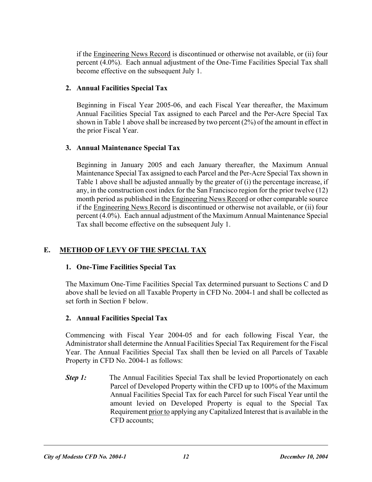if the Engineering News Record is discontinued or otherwise not available, or (ii) four percent (4.0%). Each annual adjustment of the One-Time Facilities Special Tax shall become effective on the subsequent July 1.

#### **2. Annual Facilities Special Tax**

Beginning in Fiscal Year 2005-06, and each Fiscal Year thereafter, the Maximum Annual Facilities Special Tax assigned to each Parcel and the Per-Acre Special Tax shown in Table 1 above shall be increased by two percent (2%) of the amount in effect in the prior Fiscal Year.

### **3. Annual Maintenance Special Tax**

Beginning in January 2005 and each January thereafter, the Maximum Annual Maintenance Special Tax assigned to each Parcel and the Per-Acre Special Tax shown in Table 1 above shall be adjusted annually by the greater of (i) the percentage increase, if any, in the construction cost index for the San Francisco region for the prior twelve (12) month period as published in the Engineering News Record or other comparable source if the Engineering News Record is discontinued or otherwise not available, or (ii) four percent (4.0%). Each annual adjustment of the Maximum Annual Maintenance Special Tax shall become effective on the subsequent July 1.

### **E. METHOD OF LEVY OF THE SPECIAL TAX**

#### **1. One-Time Facilities Special Tax**

The Maximum One-Time Facilities Special Tax determined pursuant to Sections C and D above shall be levied on all Taxable Property in CFD No. 2004-1 and shall be collected as set forth in Section F below.

### **2. Annual Facilities Special Tax**

Commencing with Fiscal Year 2004-05 and for each following Fiscal Year, the Administrator shall determine the Annual Facilities Special Tax Requirement for the Fiscal Year. The Annual Facilities Special Tax shall then be levied on all Parcels of Taxable Property in CFD No. 2004-1 as follows:

**Step 1:** The Annual Facilities Special Tax shall be levied Proportionately on each Parcel of Developed Property within the CFD up to 100% of the Maximum Annual Facilities Special Tax for each Parcel for such Fiscal Year until the amount levied on Developed Property is equal to the Special Tax Requirement prior to applying any Capitalized Interest that is available in the CFD accounts;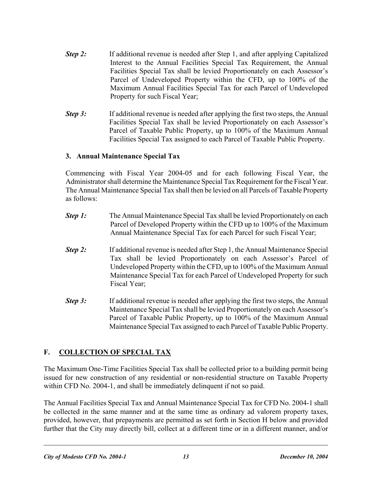- *Step 2:* If additional revenue is needed after Step 1, and after applying Capitalized Interest to the Annual Facilities Special Tax Requirement, the Annual Facilities Special Tax shall be levied Proportionately on each Assessor's Parcel of Undeveloped Property within the CFD, up to 100% of the Maximum Annual Facilities Special Tax for each Parcel of Undeveloped Property for such Fiscal Year;
- *Step 3:* If additional revenue is needed after applying the first two steps, the Annual Facilities Special Tax shall be levied Proportionately on each Assessor's Parcel of Taxable Public Property, up to 100% of the Maximum Annual Facilities Special Tax assigned to each Parcel of Taxable Public Property.

#### **3. Annual Maintenance Special Tax**

Commencing with Fiscal Year 2004-05 and for each following Fiscal Year, the Administrator shall determine the Maintenance Special Tax Requirement for the Fiscal Year. The Annual Maintenance Special Tax shall then be levied on all Parcels of Taxable Property as follows:

- *Step 1:* The Annual Maintenance Special Tax shall be levied Proportionately on each Parcel of Developed Property within the CFD up to 100% of the Maximum Annual Maintenance Special Tax for each Parcel for such Fiscal Year;
- **Step 2:** If additional revenue is needed after Step 1, the Annual Maintenance Special Tax shall be levied Proportionately on each Assessor's Parcel of Undeveloped Property within the CFD, up to 100% of the Maximum Annual Maintenance Special Tax for each Parcel of Undeveloped Property for such Fiscal Year;
- *Step 3:* If additional revenue is needed after applying the first two steps, the Annual Maintenance Special Tax shall be levied Proportionately on each Assessor's Parcel of Taxable Public Property, up to 100% of the Maximum Annual Maintenance Special Tax assigned to each Parcel of Taxable Public Property.

# **F. COLLECTION OF SPECIAL TAX**

The Maximum One-Time Facilities Special Tax shall be collected prior to a building permit being issued for new construction of any residential or non-residential structure on Taxable Property within CFD No. 2004-1, and shall be immediately delinquent if not so paid.

The Annual Facilities Special Tax and Annual Maintenance Special Tax for CFD No. 2004-1 shall be collected in the same manner and at the same time as ordinary ad valorem property taxes, provided, however, that prepayments are permitted as set forth in Section H below and provided further that the City may directly bill, collect at a different time or in a different manner, and/or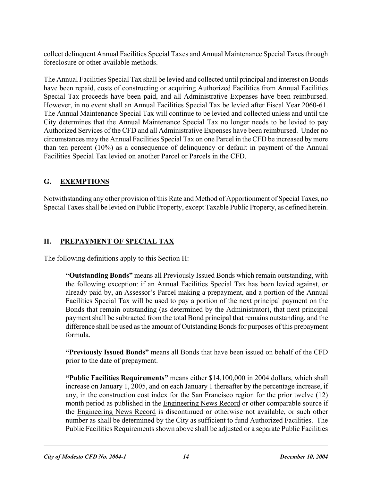collect delinquent Annual Facilities Special Taxes and Annual Maintenance Special Taxes through foreclosure or other available methods.

The Annual Facilities Special Tax shall be levied and collected until principal and interest on Bonds have been repaid, costs of constructing or acquiring Authorized Facilities from Annual Facilities Special Tax proceeds have been paid, and all Administrative Expenses have been reimbursed. However, in no event shall an Annual Facilities Special Tax be levied after Fiscal Year 2060-61. The Annual Maintenance Special Tax will continue to be levied and collected unless and until the City determines that the Annual Maintenance Special Tax no longer needs to be levied to pay Authorized Services of the CFD and all Administrative Expenses have been reimbursed. Under no circumstances may the Annual Facilities Special Tax on one Parcel in the CFD be increased by more than ten percent (10%) as a consequence of delinquency or default in payment of the Annual Facilities Special Tax levied on another Parcel or Parcels in the CFD.

# **G. EXEMPTIONS**

Notwithstanding any other provision of this Rate and Method of Apportionment of Special Taxes, no Special Taxes shall be levied on Public Property, except Taxable Public Property, as defined herein.

# **H. PREPAYMENT OF SPECIAL TAX**

The following definitions apply to this Section H:

**"Outstanding Bonds"** means all Previously Issued Bonds which remain outstanding, with the following exception: if an Annual Facilities Special Tax has been levied against, or already paid by, an Assessor's Parcel making a prepayment, and a portion of the Annual Facilities Special Tax will be used to pay a portion of the next principal payment on the Bonds that remain outstanding (as determined by the Administrator), that next principal payment shall be subtracted from the total Bond principal that remains outstanding, and the difference shall be used as the amount of Outstanding Bonds for purposes of this prepayment formula.

**"Previously Issued Bonds"** means all Bonds that have been issued on behalf of the CFD prior to the date of prepayment.

**"Public Facilities Requirements"** means either \$14,100,000 in 2004 dollars, which shall increase on January 1, 2005, and on each January 1 thereafter by the percentage increase, if any, in the construction cost index for the San Francisco region for the prior twelve (12) month period as published in the Engineering News Record or other comparable source if the Engineering News Record is discontinued or otherwise not available, or such other number as shall be determined by the City as sufficient to fund Authorized Facilities. The Public Facilities Requirements shown above shall be adjusted or a separate Public Facilities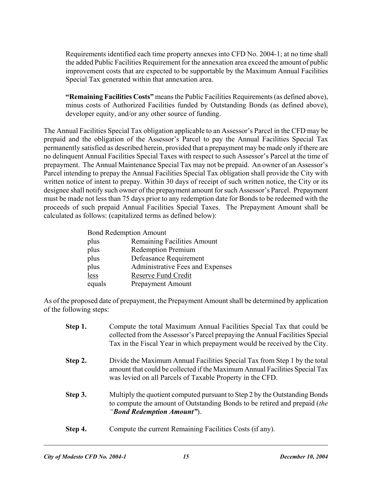Requirements identified each time property annexes into CFD No. 2004-1; at no time shall the added Public Facilities Requirement for the annexation area exceed the amount of public improvement costs that are expected to be supportable by the Maximum Annual Facilities Special Tax generated within that annexation area.

**"Remaining Facilities Costs"** means the Public Facilities Requirements (as defined above), minus costs of Authorized Facilities funded by Outstanding Bonds (as defined above), developer equity, and/or any other source of funding.

The Annual Facilities Special Tax obligation applicable to an Assessor's Parcel in the CFD may be prepaid and the obligation of the Assessor's Parcel to pay the Annual Facilities Special Tax permanently satisfied as described herein, provided that a prepayment may be made only if there are no delinquent Annual Facilities Special Taxes with respect to such Assessor's Parcel at the time of prepayment. The Annual Maintenance Special Tax may not be prepaid. An owner of an Assessor's Parcel intending to prepay the Annual Facilities Special Tax obligation shall provide the City with written notice of intent to prepay. Within 30 days of receipt of such written notice, the City or its designee shall notify such owner of the prepayment amount for such Assessor's Parcel. Prepayment must be made not less than 75 days prior to any redemption date for Bonds to be redeemed with the proceeds of such prepaid Annual Facilities Special Taxes. The Prepayment Amount shall be calculated as follows: (capitalized terms as defined below):

| <b>Bond Redemption Amount</b> |                                  |  |  |  |  |
|-------------------------------|----------------------------------|--|--|--|--|
| plus                          | Remaining Facilities Amount      |  |  |  |  |
| plus                          | <b>Redemption Premium</b>        |  |  |  |  |
| plus                          | Defeasance Requirement           |  |  |  |  |
| plus                          | Administrative Fees and Expenses |  |  |  |  |
| less                          | Reserve Fund Credit              |  |  |  |  |
| equals                        | Prepayment Amount                |  |  |  |  |

As of the proposed date of prepayment, the Prepayment Amount shall be determined by application of the following steps:

| Step 1. | Compute the total Maximum Annual Facilities Special Tax that could be<br>collected from the Assessor's Parcel prepaying the Annual Facilities Special<br>Tax in the Fiscal Year in which prepayment would be received by the City. |
|---------|------------------------------------------------------------------------------------------------------------------------------------------------------------------------------------------------------------------------------------|
| Step 2. | Divide the Maximum Annual Facilities Special Tax from Step 1 by the total<br>amount that could be collected if the Maximum Annual Facilities Special Tax<br>was levied on all Parcels of Taxable Property in the CFD.              |
| Step 3. | Multiply the quotient computed pursuant to Step 2 by the Outstanding Bonds<br>to compute the amount of Outstanding Bonds to be retired and prepaid (the<br>"Bond Redemption Amount").                                              |
| Step 4. | Compute the current Remaining Facilities Costs (if any).                                                                                                                                                                           |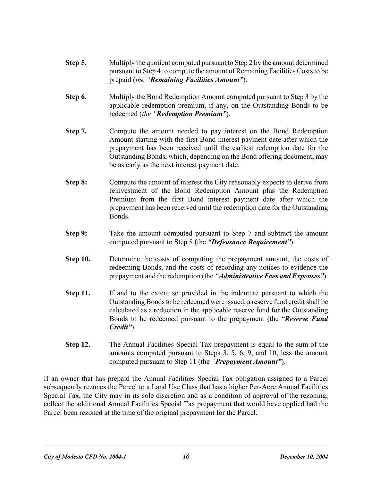- **Step 5.** Multiply the quotient computed pursuant to Step 2 by the amount determined pursuant to Step 4 to compute the amount of Remaining Facilities Costs to be prepaid (*the "Remaining Facilities Amount"*).
- **Step 6.** Multiply the Bond Redemption Amount computed pursuant to Step 3 by the applicable redemption premium, if any, on the Outstanding Bonds to be redeemed (*the "Redemption Premium"*).
- **Step 7.** Compute the amount needed to pay interest on the Bond Redemption Amount starting with the first Bond interest payment date after which the prepayment has been received until the earliest redemption date for the Outstanding Bonds, which, depending on the Bond offering document, may be as early as the next interest payment date.
- **Step 8:** Compute the amount of interest the City reasonably expects to derive from reinvestment of the Bond Redemption Amount plus the Redemption Premium from the first Bond interest payment date after which the prepayment has been received until the redemption date for the Outstanding Bonds.
- **Step 9:** Take the amount computed pursuant to Step 7 and subtract the amount computed pursuant to Step 8 (the *"Defeasance Requirement"*).
- **Step 10.** Determine the costs of computing the prepayment amount, the costs of redeeming Bonds, and the costs of recording any notices to evidence the prepayment and the redemption (the *"Administrative Fees and Expenses"*).
- **Step 11.** If and to the extent so provided in the indenture pursuant to which the Outstanding Bonds to be redeemed were issued, a reserve fund credit shall be calculated as a reduction in the applicable reserve fund for the Outstanding Bonds to be redeemed pursuant to the prepayment (the "*Reserve Fund Credit"*).
- **Step 12.** The Annual Facilities Special Tax prepayment is equal to the sum of the amounts computed pursuant to Steps 3, 5, 6, 9, and 10, less the amount computed pursuant to Step 11 (the *"Prepayment Amount"*).

If an owner that has prepaid the Annual Facilities Special Tax obligation assigned to a Parcel subsequently rezones the Parcel to a Land Use Class that has a higher Per-Acre Annual Facilities Special Tax, the City may in its sole discretion and as a condition of approval of the rezoning, collect the additional Annual Facilities Special Tax prepayment that would have applied had the Parcel been rezoned at the time of the original prepayment for the Parcel.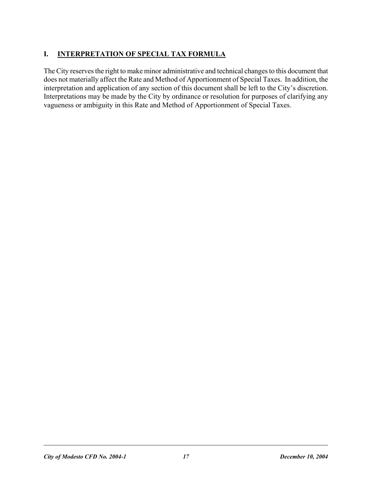# **I. INTERPRETATION OF SPECIAL TAX FORMULA**

The City reserves the right to make minor administrative and technical changes to this document that does not materially affect the Rate and Method of Apportionment of Special Taxes. In addition, the interpretation and application of any section of this document shall be left to the City's discretion. Interpretations may be made by the City by ordinance or resolution for purposes of clarifying any vagueness or ambiguity in this Rate and Method of Apportionment of Special Taxes.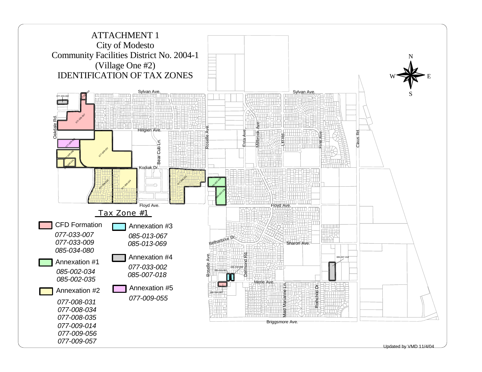